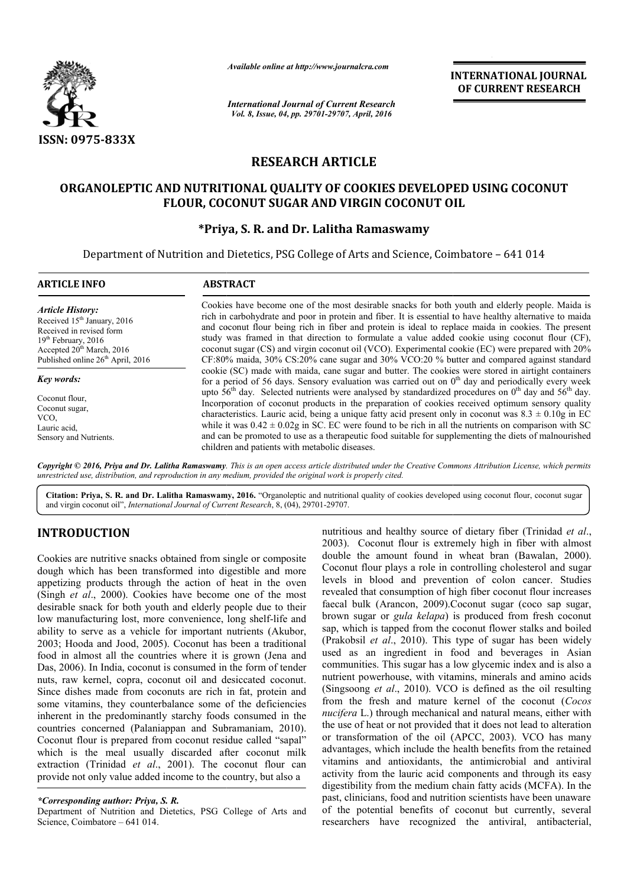

*Available online at http://www.journalcra.com*

*International Journal of Current Research Vol. 8, Issue, 04, pp. 29701-29707, April, 2016*

**INTERNATIONAL JOURNAL OF CURRENT RESEARCH** 

# **RESEARCH ARTICLE**

# **ORGANOLEPTIC AND NUTRITIONAL QUALITY OF COOKIES DEVELOPED USING COCONUT FLOUR, COCONUT SUGAR AND VIRGIN COCONUT OIL OIL**

# **\*Priya, Priya, S. R. and Dr. Lalitha Ramaswamy**

Department of Nutrition and Dietetics, PSG College of Arts and Science, Coimbatore - 641 014

| <b>ARTICLE INFO</b>                                                                                                                                                                                                                                                                                                   | <b>ABSTRACT</b>                                                                                                                                                                                                                                                                                                                                                                                                                                                                                                                                                                                                                                                                                                                                                                                                   |  |  |  |  |
|-----------------------------------------------------------------------------------------------------------------------------------------------------------------------------------------------------------------------------------------------------------------------------------------------------------------------|-------------------------------------------------------------------------------------------------------------------------------------------------------------------------------------------------------------------------------------------------------------------------------------------------------------------------------------------------------------------------------------------------------------------------------------------------------------------------------------------------------------------------------------------------------------------------------------------------------------------------------------------------------------------------------------------------------------------------------------------------------------------------------------------------------------------|--|--|--|--|
| <b>Article History:</b><br>Received 15 <sup>th</sup> January, 2016<br>Received in revised form<br>$19th$ February, 2016<br>Accepted 20 <sup>th</sup> March, 2016<br>Published online 26 <sup>th</sup> April, 2016<br>Key words:<br>Coconut flour.<br>Coconut sugar,<br>VCO.<br>Lauric acid,<br>Sensory and Nutrients. | Cookies have become one of the most desirable snacks for both youth and elderly people. Maida is<br>rich in carbohydrate and poor in protein and fiber. It is essential to have healthy alternative to maida<br>and coconut flour being rich in fiber and protein is ideal to replace maida in cookies. The present<br>study was framed in that direction to formulate a value added cookie using coconut flour (CF),<br>coconut sugar (CS) and virgin coconut oil (VCO). Experimental cookie (EC) were prepared with 20%<br>CF:80% maida, 30% CS:20% cane sugar and 30% VCO:20 % butter and compared against standard                                                                                                                                                                                            |  |  |  |  |
|                                                                                                                                                                                                                                                                                                                       | cookie (SC) made with maida, cane sugar and butter. The cookies were stored in airtight containers<br>for a period of 56 days. Sensory evaluation was carried out on $0th$ day and periodically every week<br>upto $56th$ day. Selected nutrients were analysed by standardized procedures on $0th$ day and $56th$ day.<br>Incorporation of coconut products in the preparation of cookies received optimum sensory quality<br>characteristics. Lauric acid, being a unique fatty acid present only in coconut was $8.3 \pm 0.10$ g in EC<br>while it was $0.42 \pm 0.02$ g in SC. EC were found to be rich in all the nutrients on comparison with SC<br>and can be promoted to use as a therapeutic food suitable for supplementing the diets of malnourished<br>children and patients with metabolic diseases. |  |  |  |  |

*Copyright © 2016, Priya and Dr. Lalitha Ramaswamy. This is an open access article distributed under the Creative Commons Att Attribution License, which permits unrestricted use, distribution, and reproduction in any medium, provided the original work is properly cited.*

Citation: Priya, S. R. and Dr. Lalitha Ramaswamy, 2016. "Organoleptic and nutritional quality of cookies developed using coconut flour, coconut sugar and virgin coconut oil", *International Journal of Current Research* , 8, (04), 29701-29707.

# **INTRODUCTION**

Cookies are nutritive snacks obtained from single or composite dough which has been transformed into digestible and more appetizing products through the action of heat in the oven (Singh *et al*., 2000). Cookies have become one of the most desirable snack for both youth and elderly people due to their desirable snack for both youth and elderly people due to their<br>low manufacturing lost, more convenience, long shelf-life and ability to serve as a vehicle for important nutrients (Akubor, 2003; Hooda and Jood, 2005). Coconut has been a traditional food in almost all the countries where it is grown (Jena and Das, 2006). In India, coconut is consumed in the form of tender nuts, raw kernel, copra, coconut oil and desiccated coconut. Since dishes made from coconuts are rich in fat, protein and some vitamins, they counterbalance some of the deficiencies inherent in the predominantly starchy foods consumed in the countries concerned (Palaniappan and Subramaniam, 2010). Coconut flour is prepared from coconut residue called "sapal" food in almost all the countries where it is grown (Jena and Das, 2006). In India, coconut is consumed in the form of tender nuts, raw kernel, copra, coconut oil and desiccated coconut. Since dishes made from coconuts are extraction (Trinidad *et al*., 2001). The coconut flour can provide not only value added income to the country, but also a

#### *\*Corresponding author: Priya, S. R.*

Department of Nutrition and Dietetics, PSG College of Arts and Science, Coimbatore – 641 014.

nutritious and healthy source of dietary fiber *(Trinidad et al.,* 2003). Coconut flour is extremely high in fiber with almost double the amount found in wheat bran (Bawalan, 2000). Coconut flour plays a role in controlling cholesterol and sugar levels in blood and prevention of colon cancer. Studies revealed that consumption of high fiber coconut flour increases faecal bulk (Arancon, 2009).Coconut sugar (coco sap sugar, brown sugar or *gula kelapa*) is produced from fresh coconut sap, which is tapped from the coconut flower stalks and boiled (Prakobsil *et al*., 2010). This type of sugar has been widely used as an ingredient in food and beverages in Asian communities. This sugar has a low glycemic index and is also a nutrient powerhouse, with vitamins, minerals and amino acids (Singsoong *et al*., 2010). VCO is defined as the oil resulting (Singsoong *et al.*, 2010). VCO is defined as the oil resulting from the fresh and mature kernel of the coconut (*Cocos nucifera* L.) through mechanical and natural means, either with the use of heat or not provided that it does not lead to alteration or transformation of the oil (APCC, 2003). VCO has many advantages, which include the health benefits from the retained vitamins and antioxidants, the antimicrobial and antiviral activity from the lauric acid components and through its easy digestibility from the medium chain fatty acids (MCFA). In the past, clinicians, food and nutrition scientists have been unaware of the potential benefits of coconut but currently, several researchers have recognized the antiviral, antibacterial, 2003). Coconut flour is extremely high in fiber with almost<br>double the amount found in wheat bran (Bawalan, 2000).<br>Coconut flour plays a role in controlling cholesterol and sugar<br>levels in blood and prevention of colon can **INTERNATIONAL JOURNAL CONTABLEM (CONTERNATIONAL CONTEMNATIONAL OF CURRENT RESEARCH C-3797.** April, 2016 **ARTICLE** OF COOKIES DEVELOPED USING COCONUT (ND VIRGIN COCONUT OIL AND AND CONTEXT CONTEXT CONTERNATION COON CONTEX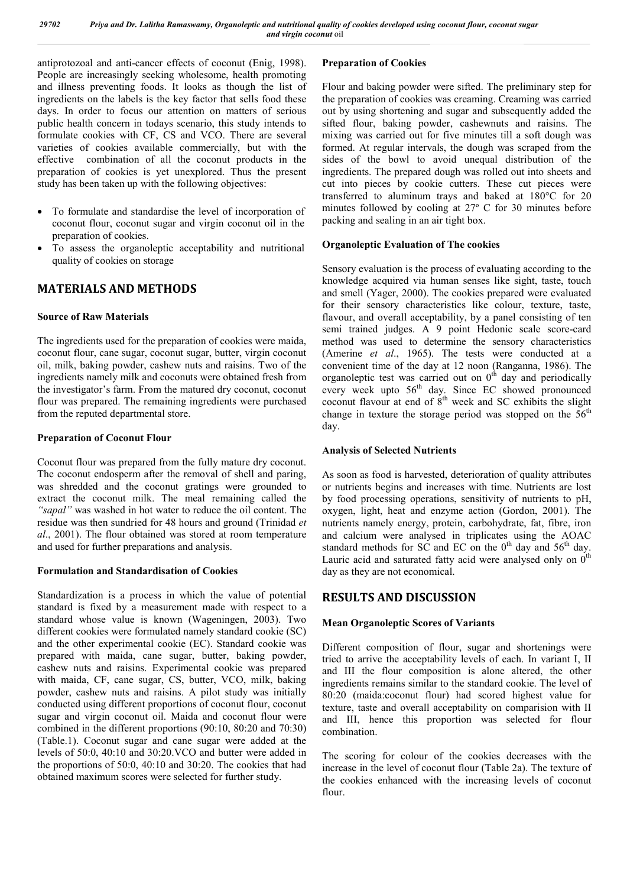antiprotozoal and anti-cancer effects of coconut (Enig, 1998). People are increasingly seeking wholesome, health promoting and illness preventing foods. It looks as though the list of ingredients on the labels is the key factor that sells food these days. In order to focus our attention on matters of serious public health concern in todays scenario, this study intends to formulate cookies with CF, CS and VCO. There are several varieties of cookies available commercially, but with the effective combination of all the coconut products in the preparation of cookies is yet unexplored. Thus the present study has been taken up with the following objectives:

- To formulate and standardise the level of incorporation of coconut flour, coconut sugar and virgin coconut oil in the preparation of cookies.
- To assess the organoleptic acceptability and nutritional quality of cookies on storage

# **MATERIALS AND METHODS**

# **Source of Raw Materials**

The ingredients used for the preparation of cookies were maida, coconut flour, cane sugar, coconut sugar, butter, virgin coconut oil, milk, baking powder, cashew nuts and raisins. Two of the ingredients namely milk and coconuts were obtained fresh from the investigator's farm. From the matured dry coconut, coconut flour was prepared. The remaining ingredients were purchased from the reputed departmental store.

# **Preparation of Coconut Flour**

Coconut flour was prepared from the fully mature dry coconut. The coconut endosperm after the removal of shell and paring, was shredded and the coconut gratings were grounded to extract the coconut milk. The meal remaining called the *"sapal"* was washed in hot water to reduce the oil content. The residue was then sundried for 48 hours and ground (Trinidad *et al*., 2001). The flour obtained was stored at room temperature and used for further preparations and analysis.

# **Formulation and Standardisation of Cookies**

Standardization is a process in which the value of potential standard is fixed by a measurement made with respect to a standard whose value is known (Wageningen, 2003). Two different cookies were formulated namely standard cookie (SC) and the other experimental cookie (EC). Standard cookie was prepared with maida, cane sugar, butter, baking powder, cashew nuts and raisins. Experimental cookie was prepared with maida, CF, cane sugar, CS, butter, VCO, milk, baking powder, cashew nuts and raisins. A pilot study was initially conducted using different proportions of coconut flour, coconut sugar and virgin coconut oil. Maida and coconut flour were combined in the different proportions (90:10, 80:20 and 70:30) (Table.1). Coconut sugar and cane sugar were added at the levels of 50:0, 40:10 and 30:20.VCO and butter were added in the proportions of 50:0, 40:10 and 30:20. The cookies that had obtained maximum scores were selected for further study.

# **Preparation of Cookies**

Flour and baking powder were sifted. The preliminary step for the preparation of cookies was creaming. Creaming was carried out by using shortening and sugar and subsequently added the sifted flour, baking powder, cashewnuts and raisins. The mixing was carried out for five minutes till a soft dough was formed. At regular intervals, the dough was scraped from the sides of the bowl to avoid unequal distribution of the ingredients. The prepared dough was rolled out into sheets and cut into pieces by cookie cutters. These cut pieces were transferred to aluminum trays and baked at 180°C for 20 minutes followed by cooling at 27º C for 30 minutes before packing and sealing in an air tight box.

# **Organoleptic Evaluation of The cookies**

Sensory evaluation is the process of evaluating according to the knowledge acquired via human senses like sight, taste, touch and smell (Yager, 2000). The cookies prepared were evaluated for their sensory characteristics like colour, texture, taste, flavour, and overall acceptability, by a panel consisting of ten semi trained judges. A 9 point Hedonic scale score-card method was used to determine the sensory characteristics (Amerine *et al*., 1965). The tests were conducted at a convenient time of the day at 12 noon (Ranganna, 1986). The organoleptic test was carried out on  $0<sup>th</sup>$  day and periodically every week upto 56<sup>th</sup> day. Since EC showed pronounced coconut flavour at end of  $8<sup>th</sup>$  week and SC exhibits the slight change in texture the storage period was stopped on the  $56<sup>th</sup>$ day.

# **Analysis of Selected Nutrients**

As soon as food is harvested, deterioration of quality attributes or nutrients begins and increases with time. Nutrients are lost by food processing operations, sensitivity of nutrients to pH, oxygen, light, heat and enzyme action (Gordon, 2001). The nutrients namely energy, protein, carbohydrate, fat, fibre, iron and calcium were analysed in triplicates using the AOAC standard methods for SC and EC on the  $0<sup>th</sup>$  day and 56<sup>th</sup> day. Lauric acid and saturated fatty acid were analysed only on  $0<sup>th</sup>$ day as they are not economical.

# **RESULTS AND DISCUSSION**

# **Mean Organoleptic Scores of Variants**

Different composition of flour, sugar and shortenings were tried to arrive the acceptability levels of each. In variant I, II and III the flour composition is alone altered, the other ingredients remains similar to the standard cookie. The level of 80:20 (maida:coconut flour) had scored highest value for texture, taste and overall acceptability on comparision with II and III, hence this proportion was selected for flour combination.

The scoring for colour of the cookies decreases with the increase in the level of coconut flour (Table 2a). The texture of the cookies enhanced with the increasing levels of coconut flour.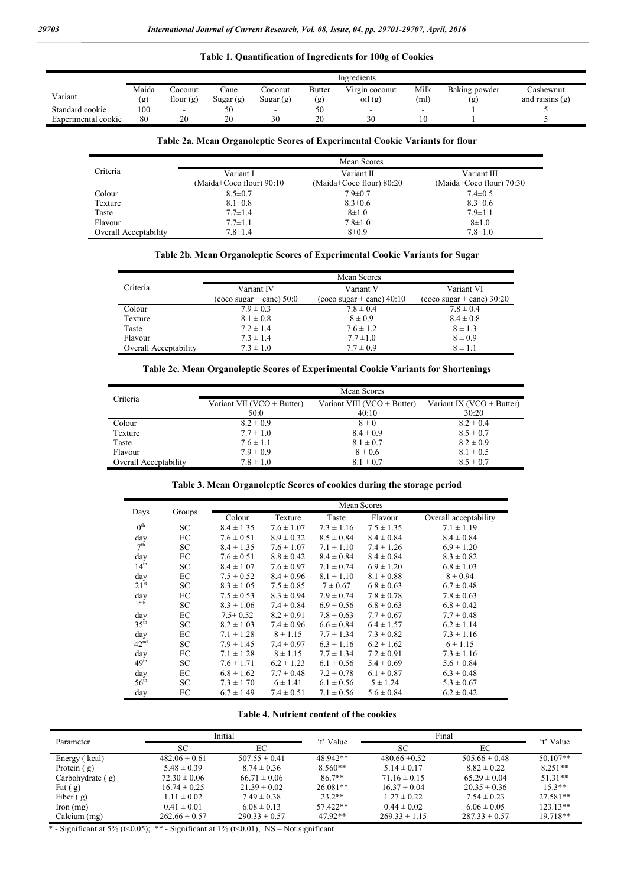j.

# **Table 1. Quantification of Ingredients for 100g of Cookies**

|                     | Ingredients  |                      |                   |                          |                      |                           |              |                      |                                |
|---------------------|--------------|----------------------|-------------------|--------------------------|----------------------|---------------------------|--------------|----------------------|--------------------------------|
| Variant             | Maida<br>(g) | `oconut<br>flour (g) | `ane<br>Sugar (g) | Coconut<br>Sugar (g)     | <b>Butter</b><br>(g) | Virgin coconut<br>oil (g) | Milk<br>(ml) | Baking powder<br>(g) | Cashewnut<br>and raisins $(g)$ |
| Standard cookie     | 100          | -                    | 50                | $\overline{\phantom{0}}$ | 50                   | -                         |              |                      |                                |
| Experimental cookie | 80           | 20                   | 20                | 30                       | 20                   | 30                        | 10           |                      |                                |

# **Table 2a. Mean Organoleptic Scores of Experimental Cookie Variants for flour**

|                       | Mean Scores              |                            |                            |  |  |  |  |
|-----------------------|--------------------------|----------------------------|----------------------------|--|--|--|--|
| Criteria              | Variant I                | Variant II                 | Variant III                |  |  |  |  |
|                       | (Maida+Coco flour) 90:10 | (Maida+Coco flour) $80:20$ | (Maida+Coco flour) $70:30$ |  |  |  |  |
| Colour                | $8.5 \pm 0.7$            | $7.9 \pm 0.7$              | $7.4 \pm 0.5$              |  |  |  |  |
| Texture               | $8.1 \pm 0.8$            | $8.3 \pm 0.6$              | $8.3 \pm 0.6$              |  |  |  |  |
| Taste                 | $7.7 \pm 1.4$            | $8 + 1.0$                  | $7.9 \pm 1.1$              |  |  |  |  |
| Flavour               | $7.7 \pm 1.1$            | $7.8 \pm 1.0$              | $8 + 1.0$                  |  |  |  |  |
| Overall Acceptability | $7.8 \pm 1.4$            | $8+0.9$                    | $7.8 \pm 1.0$              |  |  |  |  |

# **Table 2b. Mean Organoleptic Scores of Experimental Cookie Variants for Sugar**

|                       | Mean Scores                        |                             |                             |  |  |  |  |
|-----------------------|------------------------------------|-----------------------------|-----------------------------|--|--|--|--|
| Criteria              | Variant IV                         | Variant V                   | Variant VI                  |  |  |  |  |
|                       | $(\cos \theta)$ sugar + cane) 50:0 | $(coco sugar + cane)$ 40:10 | $(coco sugar + cane) 30:20$ |  |  |  |  |
| Colour                | $7.9 \pm 0.3$                      | $7.8 \pm 0.4$               | $7.8 \pm 0.4$               |  |  |  |  |
| Texture               | $8.1 \pm 0.8$                      | $8 \pm 0.9$                 | $8.4 \pm 0.8$               |  |  |  |  |
| Taste                 | $7.2 \pm 1.4$                      | $7.6 \pm 1.2$               | $8 \pm 1.3$                 |  |  |  |  |
| Flavour               | $7.3 \pm 1.4$                      | $7.7 \pm 1.0$               | $8 \pm 0.9$                 |  |  |  |  |
| Overall Acceptability | $7.3 \pm 1.0$                      | $7.7 \pm 0.9$               | $8 \pm 1.1$                 |  |  |  |  |

#### **Table 2c. Mean Organoleptic Scores of Experimental Cookie Variants for Shortenings**

|                       | Mean Scores                |                             |                           |  |  |  |  |
|-----------------------|----------------------------|-----------------------------|---------------------------|--|--|--|--|
| Criteria              | Variant VII (VCO + Butter) | Variant VIII (VCO + Butter) | Variant IX (VCO + Butter) |  |  |  |  |
|                       | 50:0                       | 40:10                       | 30:20                     |  |  |  |  |
| Colour                | $8.2 \pm 0.9$              | $8 \pm 0$                   | $8.2 \pm 0.4$             |  |  |  |  |
| Texture               | $7.7 \pm 1.0$              | $8.4 \pm 0.9$               | $8.5 \pm 0.7$             |  |  |  |  |
| Taste                 | $7.6 \pm 1.1$              | $8.1 \pm 0.7$               | $8.2 \pm 0.9$             |  |  |  |  |
| Flavour               | $7.9 \pm 0.9$              | $8 \pm 0.6$                 | $8.1 \pm 0.5$             |  |  |  |  |
| Overall Acceptability | $7.8 \pm 1.0$              | $8.1 \pm 0.7$               | $8.5 \pm 0.7$             |  |  |  |  |

# **Table 3. Mean Organoleptic Scores of cookies during the storage period**

|                  |        | Mean Scores    |                |                |                |                       |  |
|------------------|--------|----------------|----------------|----------------|----------------|-----------------------|--|
| Days             | Groups | Colour         | Texture        | Taste          | Flavour        | Overall acceptability |  |
| 0 <sup>th</sup>  | SC     | $8.4 \pm 1.35$ | $7.6 \pm 1.07$ | $7.3 \pm 1.16$ | $7.5 \pm 1.35$ | $7.1 \pm 1.19$        |  |
| day              | EC     | $7.6 \pm 0.51$ | $8.9 \pm 0.32$ | $8.5 \pm 0.84$ | $8.4 \pm 0.84$ | $8.4 \pm 0.84$        |  |
| 7 <sup>th</sup>  | SC     | $8.4 \pm 1.35$ | $7.6 \pm 1.07$ | $7.1 \pm 1.10$ | $7.4 \pm 1.26$ | $6.9 \pm 1.20$        |  |
| day              | EC     | $7.6 \pm 0.51$ | $8.8 \pm 0.42$ | $8.4 \pm 0.84$ | $8.4 \pm 0.84$ | $8.3 \pm 0.82$        |  |
| 14 <sup>th</sup> | SC     | $8.4 \pm 1.07$ | $7.6 \pm 0.97$ | $7.1 \pm 0.74$ | $6.9 \pm 1.20$ | $6.8 \pm 1.03$        |  |
| day              | EC     | $7.5 \pm 0.52$ | $8.4 \pm 0.96$ | $8.1 \pm 1.10$ | $8.1 \pm 0.88$ | $8 \pm 0.94$          |  |
| 21 <sup>st</sup> | SC     | $8.3 \pm 1.05$ | $7.5 \pm 0.85$ | $7 \pm 0.67$   | $6.8 \pm 0.63$ | $6.7 \pm 0.48$        |  |
| day              | ЕC     | $7.5 \pm 0.53$ | $8.3 \pm 0.94$ | $7.9 \pm 0.74$ | $7.8 \pm 0.78$ | $7.8 \pm 0.63$        |  |
| 28 <sup>th</sup> | SC     | $8.3 \pm 1.06$ | $7.4 \pm 0.84$ | $6.9 \pm 0.56$ | $6.8 \pm 0.63$ | $6.8 \pm 0.42$        |  |
| day              | ЕC     | $7.5 \pm 0.52$ | $8.2 \pm 0.91$ | $7.8 \pm 0.63$ | $7.7 \pm 0.67$ | $7.7 \pm 0.48$        |  |
| 35 <sup>th</sup> | SC     | $8.2 \pm 1.03$ | $7.4 \pm 0.96$ | $6.6 \pm 0.84$ | $6.4 \pm 1.57$ | $6.2 \pm 1.14$        |  |
| day              | EC     | $7.1 \pm 1.28$ | $8 \pm 1.15$   | $7.7 \pm 1.34$ | $7.3 \pm 0.82$ | $7.3 \pm 1.16$        |  |
| 42 <sup>nd</sup> | SC     | $7.9 \pm 1.45$ | $7.4 \pm 0.97$ | $6.3 \pm 1.16$ | $6.2 \pm 1.62$ | $6 \pm 1.15$          |  |
| day              | EC     | $7.1 \pm 1.28$ | $8 \pm 1.15$   | $7.7 \pm 1.34$ | $7.2 \pm 0.91$ | $7.3 \pm 1.16$        |  |
| 49 <sup>th</sup> | SC     | $7.6 \pm 1.71$ | $6.2 \pm 1.23$ | $6.1 \pm 0.56$ | $5.4 \pm 0.69$ | $5.6 \pm 0.84$        |  |
| day              | ЕC     | $6.8 \pm 1.62$ | $7.7 \pm 0.48$ | $7.2 \pm 0.78$ | $6.1 \pm 0.87$ | $6.3 \pm 0.48$        |  |
| $56^{\text{th}}$ | SC     | $7.3 \pm 1.70$ | $6 \pm 1.41$   | $6.1 \pm 0.56$ | $5 \pm 1.24$   | $5.3 \pm 0.67$        |  |
| day              | EC     | $6.7 \pm 1.49$ | $7.4 \pm 0.51$ | $7.1 \pm 0.56$ | $5.6 \pm 0.84$ | $6.2 \pm 0.42$        |  |

#### **Table 4. Nutrient content of the cookies**

| Parameter          |                   | Initial           | 't' Value  | Final             |                   | 't' Value  |
|--------------------|-------------------|-------------------|------------|-------------------|-------------------|------------|
|                    | SС                | ЕC                |            | SС                | ЕC                |            |
| Energy (kcal)      | $482.06 \pm 0.61$ | $507.55 \pm 0.41$ | 48.942**   | $480.66 \pm 0.52$ | $505.66 \pm 0.48$ | $50.107**$ |
| Protein $(g)$      | $5.48 \pm 0.39$   | $8.74 \pm 0.36$   | $8.560**$  | $5.14 \pm 0.17$   | $8.82 \pm 0.22$   | $8.251**$  |
| Carbohydrate $(g)$ | $72.30 \pm 0.06$  | $66.71 \pm 0.06$  | $86.7**$   | $71.16 \pm 0.15$  | $65.29 \pm 0.04$  | $51.31**$  |
| Fat $(g)$          | $16.74 \pm 0.25$  | $21.39 \pm 0.02$  | $26.081**$ | $16.37 \pm 0.04$  | $20.35 \pm 0.36$  | $15.3**$   |
| Fiber $(g)$        | $1.11 \pm 0.02$   | $7.49 \pm 0.38$   | $23.2**$   | $1.27 \pm 0.22$   | $7.54 \pm 0.23$   | 27.581**   |
| lron(mg)           | $0.41 \pm 0.01$   | $6.08 \pm 0.13$   | 57.422**   | $0.44 \pm 0.02$   | $6.06 \pm 0.05$   | $123.13**$ |
| Calcium (mg)       | $262.66 \pm 0.57$ | $290.33 \pm 0.57$ | $47.92**$  | $269.33 \pm 1.15$ | $287.33 \pm 0.57$ | 19.718**   |

\* - Significant at 5% (t<0.05); \*\* - Significant at 1% (t<0.01); NS – Not significant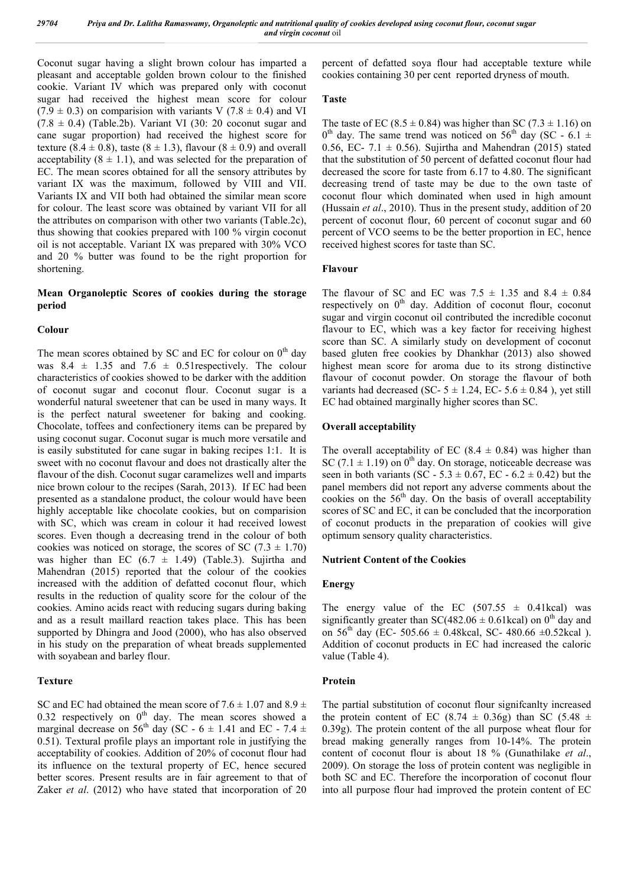Coconut sugar having a slight brown colour has imparted a pleasant and acceptable golden brown colour to the finished cookie. Variant IV which was prepared only with coconut sugar had received the highest mean score for colour  $(7.9 \pm 0.3)$  on comparision with variants V (7.8  $\pm$  0.4) and VI  $(7.8 \pm 0.4)$  (Table.2b). Variant VI (30: 20 coconut sugar and cane sugar proportion) had received the highest score for texture  $(8.4 \pm 0.8)$ , taste  $(8 \pm 1.3)$ , flavour  $(8 \pm 0.9)$  and overall acceptability  $(8 \pm 1.1)$ , and was selected for the preparation of EC. The mean scores obtained for all the sensory attributes by variant IX was the maximum, followed by VIII and VII. Variants IX and VII both had obtained the similar mean score for colour. The least score was obtained by variant VII for all the attributes on comparison with other two variants (Table.2c), thus showing that cookies prepared with 100 % virgin coconut oil is not acceptable. Variant IX was prepared with 30% VCO and 20 % butter was found to be the right proportion for shortening.

# **Mean Organoleptic Scores of cookies during the storage period**

#### **Colour**

The mean scores obtained by SC and EC for colour on  $0<sup>th</sup>$  day was  $8.4 \pm 1.35$  and  $7.6 \pm 0.51$  respectively. The colour characteristics of cookies showed to be darker with the addition of coconut sugar and coconut flour. Coconut sugar is a wonderful natural sweetener that can be used in many ways. It is the perfect natural sweetener for baking and cooking. Chocolate, toffees and confectionery items can be prepared by using coconut sugar. Coconut sugar is much more versatile and is easily substituted for cane sugar in baking recipes 1:1. It is sweet with no coconut flavour and does not drastically alter the flavour of the dish. Coconut sugar caramelizes well and imparts nice brown colour to the recipes (Sarah, 2013). If EC had been presented as a standalone product, the colour would have been highly acceptable like chocolate cookies, but on comparision with SC, which was cream in colour it had received lowest scores. Even though a decreasing trend in the colour of both cookies was noticed on storage, the scores of SC (7.3  $\pm$  1.70) was higher than EC  $(6.7 \pm 1.49)$  (Table.3). Sujirtha and Mahendran (2015) reported that the colour of the cookies increased with the addition of defatted coconut flour, which results in the reduction of quality score for the colour of the cookies. Amino acids react with reducing sugars during baking and as a result maillard reaction takes place. This has been supported by Dhingra and Jood (2000), who has also observed in his study on the preparation of wheat breads supplemented with soyabean and barley flour.

#### **Texture**

SC and EC had obtained the mean score of  $7.6 \pm 1.07$  and  $8.9 \pm$ 0.32 respectively on  $0^{th}$  day. The mean scores showed a marginal decrease on 56<sup>th</sup> day (SC - 6  $\pm$  1.41 and EC - 7.4  $\pm$ 0.51). Textural profile plays an important role in justifying the acceptability of cookies. Addition of 20% of coconut flour had its influence on the textural property of EC, hence secured better scores. Present results are in fair agreement to that of Zaker *et al*. (2012) who have stated that incorporation of 20

percent of defatted soya flour had acceptable texture while cookies containing 30 per cent reported dryness of mouth.

#### **Taste**

The taste of EC (8.5  $\pm$  0.84) was higher than SC (7.3  $\pm$  1.16) on  $0^{th}$  day. The same trend was noticed on 56<sup>th</sup> day (SC - 6.1  $\pm$ 0.56, EC- 7.1  $\pm$  0.56). Sujirtha and Mahendran (2015) stated that the substitution of 50 percent of defatted coconut flour had decreased the score for taste from 6.17 to 4.80. The significant decreasing trend of taste may be due to the own taste of coconut flour which dominated when used in high amount (Hussain *et al*., 2010). Thus in the present study, addition of 20 percent of coconut flour, 60 percent of coconut sugar and 60 percent of VCO seems to be the better proportion in EC, hence received highest scores for taste than SC.

#### **Flavour**

The flavour of SC and EC was  $7.5 \pm 1.35$  and  $8.4 \pm 0.84$ respectively on  $0<sup>th</sup>$  day. Addition of coconut flour, coconut sugar and virgin coconut oil contributed the incredible coconut flavour to EC, which was a key factor for receiving highest score than SC. A similarly study on development of coconut based gluten free cookies by Dhankhar (2013) also showed highest mean score for aroma due to its strong distinctive flavour of coconut powder. On storage the flavour of both variants had decreased (SC-  $5 \pm 1.24$ , EC-  $5.6 \pm 0.84$ ), yet still EC had obtained marginally higher scores than SC.

#### **Overall acceptability**

The overall acceptability of EC (8.4  $\pm$  0.84) was higher than SC (7.1  $\pm$  1.19) on 0<sup>th</sup> day. On storage, noticeable decrease was seen in both variants (SC - 5.3  $\pm$  0.67, EC - 6.2  $\pm$  0.42) but the panel members did not report any adverse comments about the cookies on the  $56<sup>th</sup>$  day. On the basis of overall acceptability scores of SC and EC, it can be concluded that the incorporation of coconut products in the preparation of cookies will give optimum sensory quality characteristics.

### **Nutrient Content of the Cookies**

#### **Energy**

The energy value of the EC (507.55  $\pm$  0.41kcal) was significantly greater than SC(482.06  $\pm$  0.61kcal) on 0<sup>th</sup> day and on 56<sup>th</sup> day (EC- 505.66  $\pm$  0.48kcal, SC- 480.66  $\pm$ 0.52kcal). Addition of coconut products in EC had increased the caloric value (Table 4).

#### **Protein**

The partial substitution of coconut flour signifcanlty increased the protein content of EC (8.74  $\pm$  0.36g) than SC (5.48  $\pm$ 0.39g). The protein content of the all purpose wheat flour for bread making generally ranges from 10-14%. The protein content of coconut flour is about 18 % (Gunathilake *et al*., 2009). On storage the loss of protein content was negligible in both SC and EC. Therefore the incorporation of coconut flour into all purpose flour had improved the protein content of EC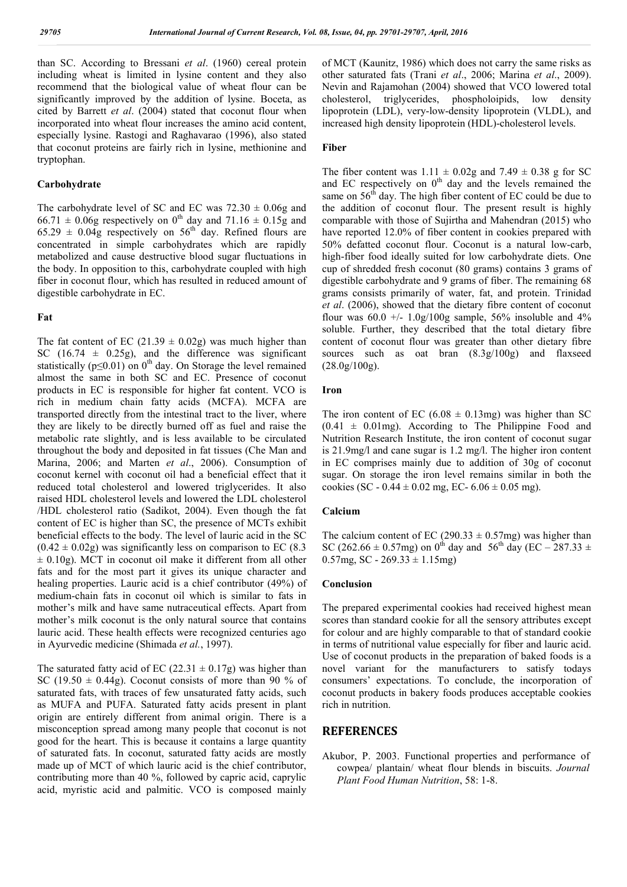than SC. According to Bressani *et al*. (1960) cereal protein including wheat is limited in lysine content and they also recommend that the biological value of wheat flour can be significantly improved by the addition of lysine. Boceta, as cited by Barrett *et al*. (2004) stated that coconut flour when incorporated into wheat flour increases the amino acid content, especially lysine. Rastogi and Raghavarao (1996), also stated that coconut proteins are fairly rich in lysine, methionine and tryptophan.

#### **Carbohydrate**

The carbohydrate level of SC and EC was  $72.30 \pm 0.06$ g and 66.71  $\pm$  0.06g respectively on 0<sup>th</sup> day and 71.16  $\pm$  0.15g and  $65.29 \pm 0.04$ g respectively on  $56<sup>th</sup>$  day. Refined flours are concentrated in simple carbohydrates which are rapidly metabolized and cause destructive blood sugar fluctuations in the body. In opposition to this, carbohydrate coupled with high fiber in coconut flour, which has resulted in reduced amount of digestible carbohydrate in EC.

# **Fat**

The fat content of EC (21.39  $\pm$  0.02g) was much higher than SC  $(16.74 \pm 0.25g)$ , and the difference was significant statistically ( $p \le 0.01$ ) on 0<sup>th</sup> day. On Storage the level remained almost the same in both SC and EC. Presence of coconut products in EC is responsible for higher fat content. VCO is rich in medium chain fatty acids (MCFA). MCFA are transported directly from the intestinal tract to the liver, where they are likely to be directly burned off as fuel and raise the metabolic rate slightly, and is less available to be circulated throughout the body and deposited in fat tissues (Che Man and Marina, 2006; and Marten *et al*., 2006). Consumption of coconut kernel with coconut oil had a beneficial effect that it reduced total cholesterol and lowered triglycerides. It also raised HDL cholesterol levels and lowered the LDL cholesterol /HDL cholesterol ratio (Sadikot, 2004). Even though the fat content of EC is higher than SC, the presence of MCTs exhibit beneficial effects to the body. The level of lauric acid in the SC  $(0.42 \pm 0.02$ g) was significantly less on comparison to EC (8.3)  $\pm$  0.10g). MCT in coconut oil make it different from all other fats and for the most part it gives its unique character and healing properties. Lauric acid is a chief contributor (49%) of medium-chain fats in coconut oil which is similar to fats in mother's milk and have same nutraceutical effects. Apart from mother's milk coconut is the only natural source that contains lauric acid. These health effects were recognized centuries ago in Ayurvedic medicine (Shimada *et al.*, 1997).

The saturated fatty acid of EC (22.31  $\pm$  0.17g) was higher than SC (19.50  $\pm$  0.44g). Coconut consists of more than 90 % of saturated fats, with traces of few unsaturated fatty acids, such as MUFA and PUFA. Saturated fatty acids present in plant origin are entirely different from animal origin. There is a misconception spread among many people that coconut is not good for the heart. This is because it contains a large quantity of saturated fats. In coconut, saturated fatty acids are mostly made up of MCT of which lauric acid is the chief contributor, contributing more than 40 %, followed by capric acid, caprylic acid, myristic acid and palmitic. VCO is composed mainly

of MCT (Kaunitz, 1986) which does not carry the same risks as other saturated fats (Trani *et al*., 2006; Marina *et al*., 2009). Nevin and Rajamohan (2004) showed that VCO lowered total cholesterol, triglycerides, phospholoipids, low density lipoprotein (LDL), very-low-density lipoprotein (VLDL), and increased high density lipoprotein (HDL)-cholesterol levels.

#### **Fiber**

The fiber content was  $1.11 \pm 0.02$ g and  $7.49 \pm 0.38$  g for SC and EC respectively on  $0<sup>th</sup>$  day and the levels remained the same on  $56<sup>th</sup>$  day. The high fiber content of EC could be due to the addition of coconut flour. The present result is highly comparable with those of Sujirtha and Mahendran (2015) who have reported 12.0% of fiber content in cookies prepared with 50% defatted coconut flour. Coconut is a natural low-carb, high-fiber food ideally suited for low carbohydrate diets. One cup of shredded fresh coconut (80 grams) contains 3 grams of digestible carbohydrate and 9 grams of fiber. The remaining 68 grams consists primarily of water, fat, and protein. Trinidad *et al*. (2006), showed that the dietary fibre content of coconut flour was  $60.0 +1.0$ g/100g sample, 56% insoluble and 4% soluble. Further, they described that the total dietary fibre content of coconut flour was greater than other dietary fibre sources such as oat bran (8.3g/100g) and flaxseed (28.0g/100g).

# **Iron**

The iron content of EC (6.08  $\pm$  0.13mg) was higher than SC  $(0.41 \pm 0.01$ mg). According to The Philippine Food and Nutrition Research Institute, the iron content of coconut sugar is 21.9mg/l and cane sugar is 1.2 mg/l. The higher iron content in EC comprises mainly due to addition of 30g of coconut sugar. On storage the iron level remains similar in both the cookies (SC -  $0.44 \pm 0.02$  mg, EC-  $6.06 \pm 0.05$  mg).

### **Calcium**

The calcium content of EC (290.33  $\pm$  0.57mg) was higher than SC (262.66  $\pm$  0.57mg) on 0<sup>th</sup> day and 56<sup>th</sup> day (EC – 287.33  $\pm$ 0.57mg, SC - 269.33  $\pm$  1.15mg)

#### **Conclusion**

The prepared experimental cookies had received highest mean scores than standard cookie for all the sensory attributes except for colour and are highly comparable to that of standard cookie in terms of nutritional value especially for fiber and lauric acid. Use of coconut products in the preparation of baked foods is a novel variant for the manufacturers to satisfy todays consumers' expectations. To conclude, the incorporation of coconut products in bakery foods produces acceptable cookies rich in nutrition.

# **REFERENCES**

Akubor, P. 2003. Functional properties and performance of cowpea/ plantain/ wheat flour blends in biscuits. *Journal Plant Food Human Nutrition*, 58: 1-8.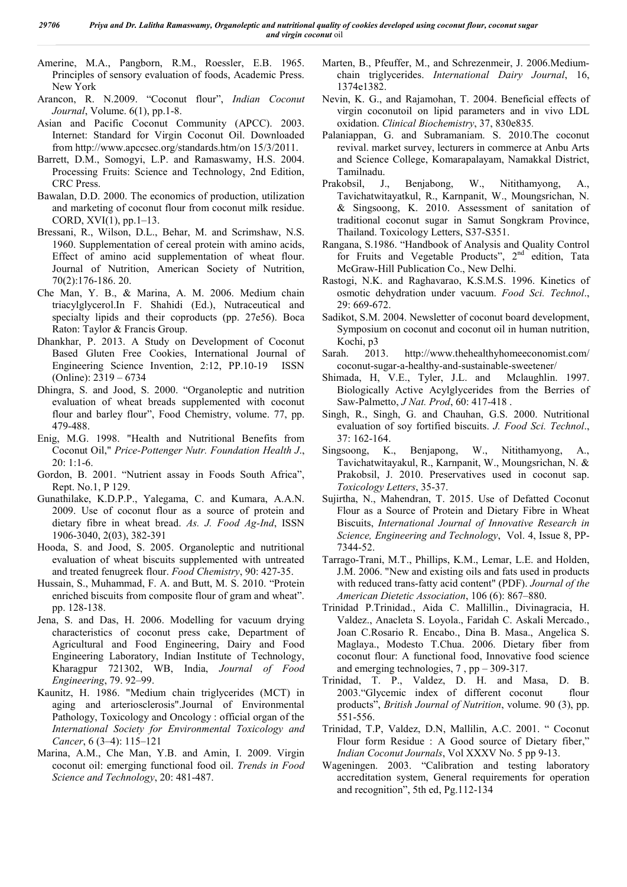Amerine, M.A., Pangborn, R.M., Roessler, E.B. 1965. Principles of sensory evaluation of foods, Academic Press. New York

- Arancon, R. N.2009. "Coconut flour", *Indian Coconut Journal*, Volume. 6(1), pp.1-8.
- Asian and Pacific Coconut Community (APCC). 2003. Internet: Standard for Virgin Coconut Oil. Downloaded from http://www.apccsec.org/standards.htm/on 15/3/2011.
- Barrett, D.M., Somogyi, L.P. and Ramaswamy, H.S. 2004. Processing Fruits: Science and Technology, 2nd Edition, CRC Press.
- Bawalan, D.D. 2000. The economics of production, utilization and marketing of coconut flour from coconut milk residue. CORD, XVI(1), pp.1–13.
- Bressani, R., Wilson, D.L., Behar, M. and Scrimshaw, N.S. 1960. Supplementation of cereal protein with amino acids, Effect of amino acid supplementation of wheat flour. Journal of Nutrition, American Society of Nutrition, 70(2):176-186. 20.
- Che Man, Y. B., & Marina, A. M. 2006. Medium chain triacylglycerol.In F. Shahidi (Ed.), Nutraceutical and specialty lipids and their coproducts (pp. 27e56). Boca Raton: Taylor & Francis Group.
- Dhankhar, P. 2013. A Study on Development of Coconut Based Gluten Free Cookies, International Journal of Engineering Science Invention, 2:12, PP.10-19 ISSN (Online): 2319 – 6734
- Dhingra, S. and Jood, S. 2000. "Organoleptic and nutrition evaluation of wheat breads supplemented with coconut flour and barley flour", Food Chemistry, volume. 77, pp. 479-488.
- Enig, M.G. 1998. "Health and Nutritional Benefits from Coconut Oil," *Price-Pottenger Nutr. Foundation Health J*., 20: 1:1-6.
- Gordon, B. 2001. "Nutrient assay in Foods South Africa", Rept. No.1, P 129.
- Gunathilake, K.D.P.P., Yalegama, C. and Kumara, A.A.N. 2009. Use of coconut flour as a source of protein and dietary fibre in wheat bread. *As. J. Food Ag-Ind*, ISSN 1906-3040, 2(03), 382-391
- Hooda, S. and Jood, S. 2005. Organoleptic and nutritional evaluation of wheat biscuits supplemented with untreated and treated fenugreek flour. *Food Chemistry*, 90: 427-35.
- Hussain, S., Muhammad, F. A. and Butt, M. S. 2010. "Protein enriched biscuits from composite flour of gram and wheat". pp. 128-138.
- Jena, S. and Das, H. 2006. Modelling for vacuum drying characteristics of coconut press cake, Department of Agricultural and Food Engineering, Dairy and Food Engineering Laboratory, Indian Institute of Technology, Kharagpur 721302, WB, India, *Journal of Food Engineering*, 79. 92–99.
- Kaunitz, H. 1986. "Medium chain triglycerides (MCT) in aging and arteriosclerosis".Journal of Environmental Pathology, Toxicology and Oncology : official organ of the *International Society for Environmental Toxicology and Cancer*, 6 (3–4): 115–121
- Marina, A.M., Che Man, Y.B. and Amin, I. 2009. Virgin coconut oil: emerging functional food oil. *Trends in Food Science and Technology*, 20: 481-487.
- Marten, B., Pfeuffer, M., and Schrezenmeir, J. 2006.Mediumchain triglycerides. *International Dairy Journal*, 16, 1374e1382.
- Nevin, K. G., and Rajamohan, T. 2004. Beneficial effects of virgin coconutoil on lipid parameters and in vivo LDL oxidation. *Clinical Biochemistry*, 37, 830e835*.*
- Palaniappan, G. and Subramaniam. S. 2010.The coconut revival. market survey, lecturers in commerce at Anbu Arts and Science College, Komarapalayam, Namakkal District, Tamilnadu.
- Prakobsil, J., Benjabong, W., Nitithamyong, A., Tavichatwitayatkul, R., Karnpanit, W., Moungsrichan, N. & Singsoong, K. 2010. Assessment of sanitation of traditional coconut sugar in Samut Songkram Province, Thailand. Toxicology Letters, S37-S351.
- Rangana, S.1986. "Handbook of Analysis and Quality Control for Fruits and Vegetable Products",  $2<sup>nd</sup>$  edition, Tata McGraw-Hill Publication Co., New Delhi.
- Rastogi, N.K. and Raghavarao, K.S.M.S. 1996. Kinetics of osmotic dehydration under vacuum. *Food Sci. Technol*., 29: 669-672.
- Sadikot, S.M. 2004. Newsletter of coconut board development, Symposium on coconut and coconut oil in human nutrition, Kochi, p3
- Sarah. 2013. http://www.thehealthyhomeeconomist.com/ coconut-sugar-a-healthy-and-sustainable-sweetener/
- Shimada, H, V.E., Tyler, J.L. and Mclaughlin. 1997. Biologically Active Acylglycerides from the Berries of Saw-Palmetto, *J Nat. Prod*, 60: 417-418 .
- Singh, R., Singh, G. and Chauhan, G.S. 2000. Nutritional evaluation of soy fortified biscuits. *J. Food Sci. Technol*., 37: 162-164.
- Singsoong, K., Benjapong, W., Nitithamyong, A., Tavichatwitayakul, R., Karnpanit, W., Moungsrichan, N. & Prakobsil, J. 2010. Preservatives used in coconut sap. *Toxicology Letters*, 35-37.
- Sujirtha, N., Mahendran, T. 2015. Use of Defatted Coconut Flour as a Source of Protein and Dietary Fibre in Wheat Biscuits, *International Journal of Innovative Research in Science, Engineering and Technology*, Vol. 4, Issue 8, PP-7344-52.
- Tarrago-Trani, M.T., Phillips, K.M., Lemar, L.E. and Holden, J.M. 2006. "New and existing oils and fats used in products with reduced trans-fatty acid content" (PDF). *Journal of the American Dietetic Association*, 106 (6): 867–880.
- Trinidad P.Trinidad., Aida C. Mallillin., Divinagracia, H. Valdez., Anacleta S. Loyola., Faridah C. Askali Mercado., Joan C.Rosario R. Encabo., Dina B. Masa., Angelica S. Maglaya., Modesto T.Chua. 2006. Dietary fiber from coconut flour: A functional food, Innovative food science and emerging technologies, 7 , pp – 309-317.
- Trinidad, T. P., Valdez, D. H. and Masa, D. B. 2003."Glycemic index of different coconut flour products", *British Journal of Nutrition*, volume. 90 (3), pp. 551-556.
- Trinidad, T.P, Valdez, D.N, Mallilin, A.C. 2001. " Coconut Flour form Residue : A Good source of Dietary fiber," *Indian Coconut Journals*, Vol XXXV No. 5 pp 9-13.
- Wageningen. 2003. "Calibration and testing laboratory accreditation system, General requirements for operation and recognition", 5th ed, Pg.112-134